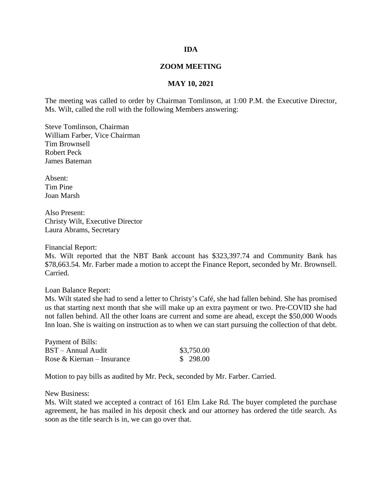## **IDA**

## **ZOOM MEETING**

## **MAY 10, 2021**

The meeting was called to order by Chairman Tomlinson, at 1:00 P.M. the Executive Director, Ms. Wilt, called the roll with the following Members answering:

Steve Tomlinson, Chairman William Farber, Vice Chairman Tim Brownsell Robert Peck James Bateman

Absent: Tim Pine Joan Marsh

Also Present: Christy Wilt, Executive Director Laura Abrams, Secretary

Financial Report:

Ms. Wilt reported that the NBT Bank account has \$323,397.74 and Community Bank has \$78,663.54. Mr. Farber made a motion to accept the Finance Report, seconded by Mr. Brownsell. Carried.

Loan Balance Report:

Ms. Wilt stated she had to send a letter to Christy's Café, she had fallen behind. She has promised us that starting next month that she will make up an extra payment or two. Pre-COVID she had not fallen behind. All the other loans are current and some are ahead, except the \$50,000 Woods Inn loan. She is waiting on instruction as to when we can start pursuing the collection of that debt.

| Payment of Bills:          |            |
|----------------------------|------------|
| BST – Annual Audit         | \$3,750.00 |
| Rose & Kiernan – Insurance | \$298.00   |

Motion to pay bills as audited by Mr. Peck, seconded by Mr. Farber. Carried.

New Business:

Ms. Wilt stated we accepted a contract of 161 Elm Lake Rd. The buyer completed the purchase agreement, he has mailed in his deposit check and our attorney has ordered the title search. As soon as the title search is in, we can go over that.